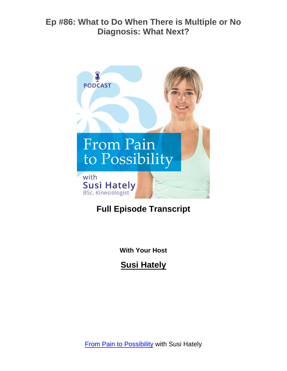

# **Full Episode Transcript**

**With Your Host**

**Susi Hately**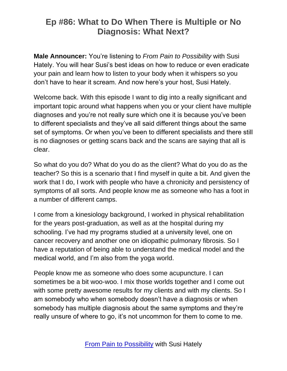**Male Announcer:** You're listening to *From Pain to Possibility* with Susi Hately. You will hear Susi's best ideas on how to reduce or even eradicate your pain and learn how to listen to your body when it whispers so you don't have to hear it scream. And now here's your host, Susi Hately.

Welcome back. With this episode I want to dig into a really significant and important topic around what happens when you or your client have multiple diagnoses and you're not really sure which one it is because you've been to different specialists and they've all said different things about the same set of symptoms. Or when you've been to different specialists and there still is no diagnoses or getting scans back and the scans are saying that all is clear.

So what do you do? What do you do as the client? What do you do as the teacher? So this is a scenario that I find myself in quite a bit. And given the work that I do, I work with people who have a chronicity and persistency of symptoms of all sorts. And people know me as someone who has a foot in a number of different camps.

I come from a kinesiology background, I worked in physical rehabilitation for the years post-graduation, as well as at the hospital during my schooling. I've had my programs studied at a university level, one on cancer recovery and another one on idiopathic pulmonary fibrosis. So I have a reputation of being able to understand the medical model and the medical world, and I'm also from the yoga world.

People know me as someone who does some acupuncture. I can sometimes be a bit woo-woo. I mix those worlds together and I come out with some pretty awesome results for my clients and with my clients. So I am somebody who when somebody doesn't have a diagnosis or when somebody has multiple diagnosis about the same symptoms and they're really unsure of where to go, it's not uncommon for them to come to me.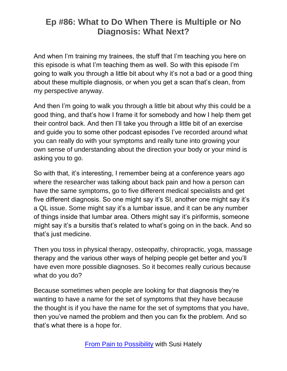And when I'm training my trainees, the stuff that I'm teaching you here on this episode is what I'm teaching them as well. So with this episode I'm going to walk you through a little bit about why it's not a bad or a good thing about these multiple diagnosis, or when you get a scan that's clean, from my perspective anyway.

And then I'm going to walk you through a little bit about why this could be a good thing, and that's how I frame it for somebody and how I help them get their control back. And then I'll take you through a little bit of an exercise and guide you to some other podcast episodes I've recorded around what you can really do with your symptoms and really tune into growing your own sense of understanding about the direction your body or your mind is asking you to go.

So with that, it's interesting, I remember being at a conference years ago where the researcher was talking about back pain and how a person can have the same symptoms, go to five different medical specialists and get five different diagnosis. So one might say it's SI, another one might say it's a QL issue. Some might say it's a lumbar issue, and it can be any number of things inside that lumbar area. Others might say it's piriformis, someone might say it's a bursitis that's related to what's going on in the back. And so that's just medicine.

Then you toss in physical therapy, osteopathy, chiropractic, yoga, massage therapy and the various other ways of helping people get better and you'll have even more possible diagnoses. So it becomes really curious because what do you do?

Because sometimes when people are looking for that diagnosis they're wanting to have a name for the set of symptoms that they have because the thought is if you have the name for the set of symptoms that you have, then you've named the problem and then you can fix the problem. And so that's what there is a hope for.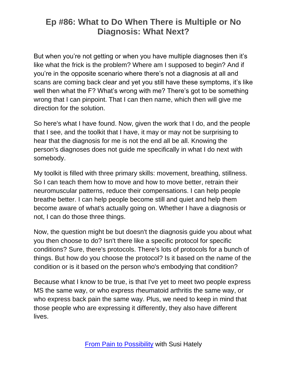But when you're not getting or when you have multiple diagnoses then it's like what the frick is the problem? Where am I supposed to begin? And if you're in the opposite scenario where there's not a diagnosis at all and scans are coming back clear and yet you still have these symptoms, it's like well then what the F? What's wrong with me? There's got to be something wrong that I can pinpoint. That I can then name, which then will give me direction for the solution.

So here's what I have found. Now, given the work that I do, and the people that I see, and the toolkit that I have, it may or may not be surprising to hear that the diagnosis for me is not the end all be all. Knowing the person's diagnoses does not guide me specifically in what I do next with somebody.

My toolkit is filled with three primary skills: movement, breathing, stillness. So I can teach them how to move and how to move better, retrain their neuromuscular patterns, reduce their compensations. I can help people breathe better. I can help people become still and quiet and help them become aware of what's actually going on. Whether I have a diagnosis or not, I can do those three things.

Now, the question might be but doesn't the diagnosis guide you about what you then choose to do? Isn't there like a specific protocol for specific conditions? Sure, there's protocols. There's lots of protocols for a bunch of things. But how do you choose the protocol? Is it based on the name of the condition or is it based on the person who's embodying that condition?

Because what I know to be true, is that I've yet to meet two people express MS the same way, or who express rheumatoid arthritis the same way, or who express back pain the same way. Plus, we need to keep in mind that those people who are expressing it differently, they also have different lives.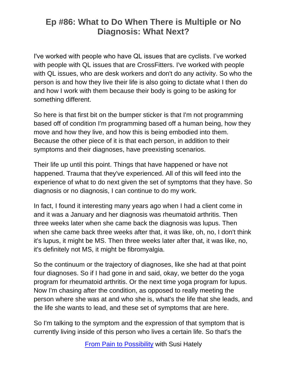I've worked with people who have QL issues that are cyclists. I've worked with people with QL issues that are CrossFitters. I've worked with people with QL issues, who are desk workers and don't do any activity. So who the person is and how they live their life is also going to dictate what I then do and how I work with them because their body is going to be asking for something different.

So here is that first bit on the bumper sticker is that I'm not programming based off of condition I'm programming based off a human being, how they move and how they live, and how this is being embodied into them. Because the other piece of it is that each person, in addition to their symptoms and their diagnoses, have preexisting scenarios.

Their life up until this point. Things that have happened or have not happened. Trauma that they've experienced. All of this will feed into the experience of what to do next given the set of symptoms that they have. So diagnosis or no diagnosis, I can continue to do my work.

In fact, I found it interesting many years ago when I had a client come in and it was a January and her diagnosis was rheumatoid arthritis. Then three weeks later when she came back the diagnosis was lupus. Then when she came back three weeks after that, it was like, oh, no, I don't think it's lupus, it might be MS. Then three weeks later after that, it was like, no, it's definitely not MS, it might be fibromyalgia.

So the continuum or the trajectory of diagnoses, like she had at that point four diagnoses. So if I had gone in and said, okay, we better do the yoga program for rheumatoid arthritis. Or the next time yoga program for lupus. Now I'm chasing after the condition, as opposed to really meeting the person where she was at and who she is, what's the life that she leads, and the life she wants to lead, and these set of symptoms that are here.

So I'm talking to the symptom and the expression of that symptom that is currently living inside of this person who lives a certain life. So that's the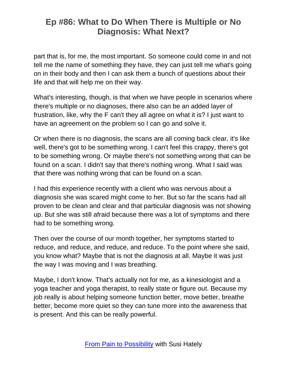part that is, for me, the most important. So someone could come in and not tell me the name of something they have, they can just tell me what's going on in their body and then I can ask them a bunch of questions about their life and that will help me on their way.

What's interesting, though, is that when we have people in scenarios where there's multiple or no diagnoses, there also can be an added layer of frustration, like, why the F can't they all agree on what it is? I just want to have an agreement on the problem so I can go and solve it.

Or when there is no diagnosis, the scans are all coming back clear, it's like well, there's got to be something wrong. I can't feel this crappy, there's got to be something wrong. Or maybe there's not something wrong that can be found on a scan. I didn't say that there's nothing wrong. What I said was that there was nothing wrong that can be found on a scan.

I had this experience recently with a client who was nervous about a diagnosis she was scared might come to her. But so far the scans had all proven to be clean and clear and that particular diagnosis was not showing up. But she was still afraid because there was a lot of symptoms and there had to be something wrong.

Then over the course of our month together, her symptoms started to reduce, and reduce, and reduce, and reduce. To the point where she said, you know what? Maybe that is not the diagnosis at all. Maybe it was just the way I was moving and I was breathing.

Maybe, I don't know. That's actually not for me, as a kinesiologist and a yoga teacher and yoga therapist, to really state or figure out. Because my job really is about helping someone function better, move better, breathe better, become more quiet so they can tune more into the awareness that is present. And this can be really powerful.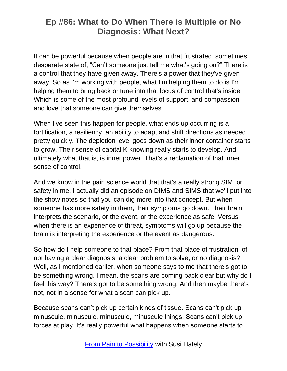It can be powerful because when people are in that frustrated, sometimes desperate state of, "Can't someone just tell me what's going on?" There is a control that they have given away. There's a power that they've given away. So as I'm working with people, what I'm helping them to do is I'm helping them to bring back or tune into that locus of control that's inside. Which is some of the most profound levels of support, and compassion, and love that someone can give themselves.

When I've seen this happen for people, what ends up occurring is a fortification, a resiliency, an ability to adapt and shift directions as needed pretty quickly. The depletion level goes down as their inner container starts to grow. Their sense of capital K knowing really starts to develop. And ultimately what that is, is inner power. That's a reclamation of that inner sense of control.

And we know in the pain science world that that's a really strong SIM, or safety in me. I actually did an episode on DIMS and SIMS that we'll put into the show notes so that you can dig more into that concept. But when someone has more safety in them, their symptoms go down. Their brain interprets the scenario, or the event, or the experience as safe. Versus when there is an experience of threat, symptoms will go up because the brain is interpreting the experience or the event as dangerous.

So how do I help someone to that place? From that place of frustration, of not having a clear diagnosis, a clear problem to solve, or no diagnosis? Well, as I mentioned earlier, when someone says to me that there's got to be something wrong, I mean, the scans are coming back clear but why do I feel this way? There's got to be something wrong. And then maybe there's not, not in a sense for what a scan can pick up.

Because scans can't pick up certain kinds of tissue. Scans can't pick up minuscule, minuscule, minuscule, minuscule things. Scans can't pick up forces at play. It's really powerful what happens when someone starts to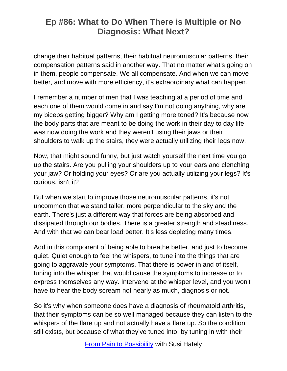change their habitual patterns, their habitual neuromuscular patterns, their compensation patterns said in another way. That no matter what's going on in them, people compensate. We all compensate. And when we can move better, and move with more efficiency, it's extraordinary what can happen.

I remember a number of men that I was teaching at a period of time and each one of them would come in and say I'm not doing anything, why are my biceps getting bigger? Why am I getting more toned? It's because now the body parts that are meant to be doing the work in their day to day life was now doing the work and they weren't using their jaws or their shoulders to walk up the stairs, they were actually utilizing their legs now.

Now, that might sound funny, but just watch yourself the next time you go up the stairs. Are you pulling your shoulders up to your ears and clenching your jaw? Or holding your eyes? Or are you actually utilizing your legs? It's curious, isn't it?

But when we start to improve those neuromuscular patterns, it's not uncommon that we stand taller, more perpendicular to the sky and the earth. There's just a different way that forces are being absorbed and dissipated through our bodies. There is a greater strength and steadiness. And with that we can bear load better. It's less depleting many times.

Add in this component of being able to breathe better, and just to become quiet. Quiet enough to feel the whispers, to tune into the things that are going to aggravate your symptoms. That there is power in and of itself, tuning into the whisper that would cause the symptoms to increase or to express themselves any way. Intervene at the whisper level, and you won't have to hear the body scream not nearly as much, diagnosis or not.

So it's why when someone does have a diagnosis of rheumatoid arthritis, that their symptoms can be so well managed because they can listen to the whispers of the flare up and not actually have a flare up. So the condition still exists, but because of what they've tuned into, by tuning in with their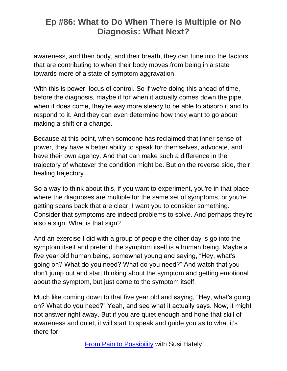awareness, and their body, and their breath, they can tune into the factors that are contributing to when their body moves from being in a state towards more of a state of symptom aggravation.

With this is power, locus of control. So if we're doing this ahead of time, before the diagnosis, maybe if for when it actually comes down the pipe, when it does come, they're way more steady to be able to absorb it and to respond to it. And they can even determine how they want to go about making a shift or a change.

Because at this point, when someone has reclaimed that inner sense of power, they have a better ability to speak for themselves, advocate, and have their own agency. And that can make such a difference in the trajectory of whatever the condition might be. But on the reverse side, their healing trajectory.

So a way to think about this, if you want to experiment, you're in that place where the diagnoses are multiple for the same set of symptoms, or you're getting scans back that are clear, I want you to consider something. Consider that symptoms are indeed problems to solve. And perhaps they're also a sign. What is that sign?

And an exercise I did with a group of people the other day is go into the symptom itself and pretend the symptom itself is a human being. Maybe a five year old human being, somewhat young and saying, "Hey, what's going on? What do you need? What do you need?" And watch that you don't jump out and start thinking about the symptom and getting emotional about the symptom, but just come to the symptom itself.

Much like coming down to that five year old and saying, "Hey, what's going on? What do you need?" Yeah, and see what it actually says. Now, it might not answer right away. But if you are quiet enough and hone that skill of awareness and quiet, it will start to speak and guide you as to what it's there for.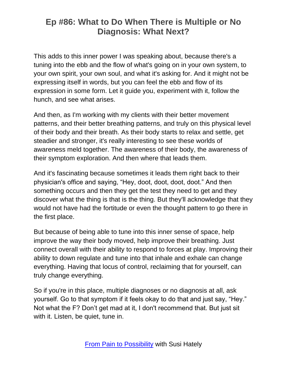This adds to this inner power I was speaking about, because there's a tuning into the ebb and the flow of what's going on in your own system, to your own spirit, your own soul, and what it's asking for. And it might not be expressing itself in words, but you can feel the ebb and flow of its expression in some form. Let it guide you, experiment with it, follow the hunch, and see what arises.

And then, as I'm working with my clients with their better movement patterns, and their better breathing patterns, and truly on this physical level of their body and their breath. As their body starts to relax and settle, get steadier and stronger, it's really interesting to see these worlds of awareness meld together. The awareness of their body, the awareness of their symptom exploration. And then where that leads them.

And it's fascinating because sometimes it leads them right back to their physician's office and saying, "Hey, doot, doot, doot, doot." And then something occurs and then they get the test they need to get and they discover what the thing is that is the thing. But they'll acknowledge that they would not have had the fortitude or even the thought pattern to go there in the first place.

But because of being able to tune into this inner sense of space, help improve the way their body moved, help improve their breathing. Just connect overall with their ability to respond to forces at play. Improving their ability to down regulate and tune into that inhale and exhale can change everything. Having that locus of control, reclaiming that for yourself, can truly change everything.

So if you're in this place, multiple diagnoses or no diagnosis at all, ask yourself. Go to that symptom if it feels okay to do that and just say, "Hey." Not what the F? Don't get mad at it, I don't recommend that. But just sit with it. Listen, be quiet, tune in.